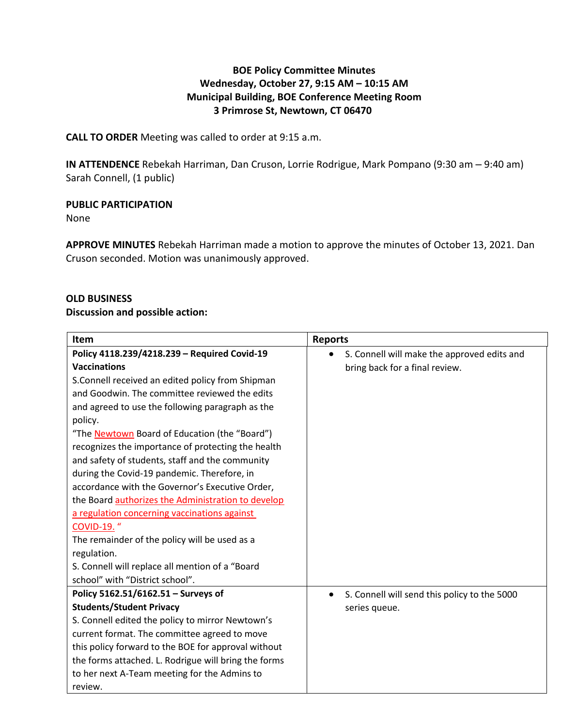## **BOE Policy Committee Minutes Wednesday, October 27, 9:15 AM – 10:15 AM Municipal Building, BOE Conference Meeting Room 3 Primrose St, Newtown, CT 06470**

**CALL TO ORDER** Meeting was called to order at 9:15 a.m.

**IN ATTENDENCE** Rebekah Harriman, Dan Cruson, Lorrie Rodrigue, Mark Pompano (9:30 am – 9:40 am) Sarah Connell, (1 public)

### **PUBLIC PARTICIPATION**

None

**APPROVE MINUTES** Rebekah Harriman made a motion to approve the minutes of October 13, 2021. Dan Cruson seconded. Motion was unanimously approved.

### **OLD BUSINESS**

### **Discussion and possible action:**

| Item                                                 | <b>Reports</b>                                            |
|------------------------------------------------------|-----------------------------------------------------------|
| Policy 4118.239/4218.239 - Required Covid-19         | S. Connell will make the approved edits and<br>$\bullet$  |
| <b>Vaccinations</b>                                  | bring back for a final review.                            |
| S.Connell received an edited policy from Shipman     |                                                           |
| and Goodwin. The committee reviewed the edits        |                                                           |
| and agreed to use the following paragraph as the     |                                                           |
| policy.                                              |                                                           |
| "The Newtown Board of Education (the "Board")        |                                                           |
| recognizes the importance of protecting the health   |                                                           |
| and safety of students, staff and the community      |                                                           |
| during the Covid-19 pandemic. Therefore, in          |                                                           |
| accordance with the Governor's Executive Order,      |                                                           |
| the Board authorizes the Administration to develop   |                                                           |
| a regulation concerning vaccinations against         |                                                           |
| <b>COVID-19.</b> "                                   |                                                           |
| The remainder of the policy will be used as a        |                                                           |
| regulation.                                          |                                                           |
| S. Connell will replace all mention of a "Board      |                                                           |
| school" with "District school".                      |                                                           |
| Policy 5162.51/6162.51 - Surveys of                  | S. Connell will send this policy to the 5000<br>$\bullet$ |
| <b>Students/Student Privacy</b>                      | series queue.                                             |
| S. Connell edited the policy to mirror Newtown's     |                                                           |
| current format. The committee agreed to move         |                                                           |
| this policy forward to the BOE for approval without  |                                                           |
| the forms attached. L. Rodrigue will bring the forms |                                                           |
| to her next A-Team meeting for the Admins to         |                                                           |
| review.                                              |                                                           |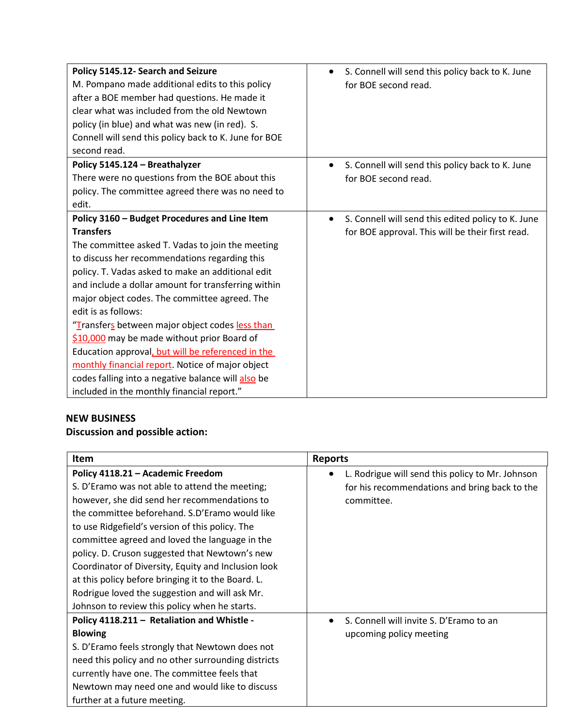| Policy 5145.12- Search and Seizure                    | S. Connell will send this policy back to K. June   |
|-------------------------------------------------------|----------------------------------------------------|
| M. Pompano made additional edits to this policy       | for BOE second read.                               |
| after a BOE member had questions. He made it          |                                                    |
| clear what was included from the old Newtown          |                                                    |
| policy (in blue) and what was new (in red). S.        |                                                    |
| Connell will send this policy back to K. June for BOE |                                                    |
| second read.                                          |                                                    |
| Policy 5145.124 - Breathalyzer                        | S. Connell will send this policy back to K. June   |
| There were no questions from the BOE about this       | for BOE second read.                               |
| policy. The committee agreed there was no need to     |                                                    |
| edit.                                                 |                                                    |
| Policy 3160 - Budget Procedures and Line Item         | S. Connell will send this edited policy to K. June |
| <b>Transfers</b>                                      | for BOE approval. This will be their first read.   |
| The committee asked T. Vadas to join the meeting      |                                                    |
| to discuss her recommendations regarding this         |                                                    |
| policy. T. Vadas asked to make an additional edit     |                                                    |
| and include a dollar amount for transferring within   |                                                    |
| major object codes. The committee agreed. The         |                                                    |
| edit is as follows:                                   |                                                    |
| "Transfers between major object codes less than       |                                                    |
| \$10,000 may be made without prior Board of           |                                                    |
| Education approval, but will be referenced in the     |                                                    |
| monthly financial report. Notice of major object      |                                                    |
| codes falling into a negative balance will also be    |                                                    |
| included in the monthly financial report."            |                                                    |

# **NEW BUSINESS**

# **Discussion and possible action:**

| <b>Item</b>                                         | <b>Reports</b>                                                |
|-----------------------------------------------------|---------------------------------------------------------------|
| Policy 4118.21 - Academic Freedom                   | L. Rodrigue will send this policy to Mr. Johnson<br>$\bullet$ |
| S. D'Eramo was not able to attend the meeting;      | for his recommendations and bring back to the                 |
| however, she did send her recommendations to        | committee.                                                    |
| the committee beforehand. S.D'Eramo would like      |                                                               |
| to use Ridgefield's version of this policy. The     |                                                               |
| committee agreed and loved the language in the      |                                                               |
| policy. D. Cruson suggested that Newtown's new      |                                                               |
| Coordinator of Diversity, Equity and Inclusion look |                                                               |
| at this policy before bringing it to the Board. L.  |                                                               |
| Rodrigue loved the suggestion and will ask Mr.      |                                                               |
| Johnson to review this policy when he starts.       |                                                               |
| Policy 4118.211 - Retaliation and Whistle -         | S. Connell will invite S. D'Eramo to an                       |
| <b>Blowing</b>                                      | upcoming policy meeting                                       |
| S. D'Eramo feels strongly that Newtown does not     |                                                               |
| need this policy and no other surrounding districts |                                                               |
| currently have one. The committee feels that        |                                                               |
| Newtown may need one and would like to discuss      |                                                               |
| further at a future meeting.                        |                                                               |